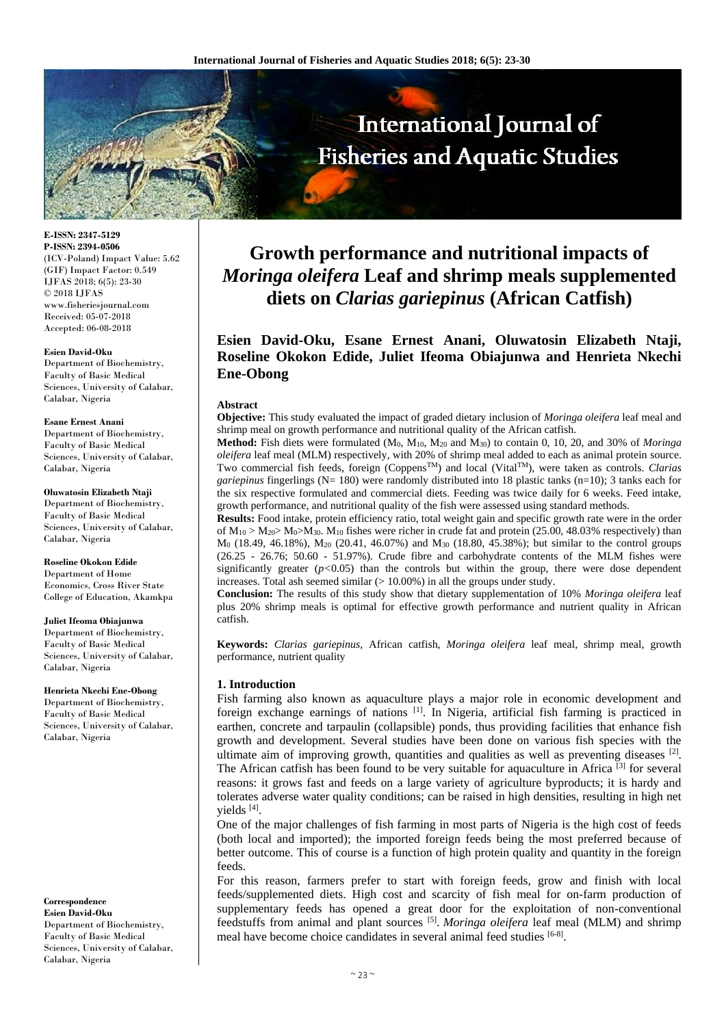

**E-ISSN: 2347-5129 P-ISSN: 2394-0506** (ICV-Poland) Impact Value: 5.62 (GIF) Impact Factor: 0.549 IJFAS 2018; 6(5): 23-30 © 2018 IJFAS www.fisheriesjournal.com Received: 05-07-2018 Accepted: 06-08-2018

#### **Esien David-Oku**

Department of Biochemistry, Faculty of Basic Medical Sciences, University of Calabar, Calabar, Nigeria

#### **Esane Ernest Anani** Department of Biochemistry,

Faculty of Basic Medical Sciences, University of Calabar, Calabar, Nigeria

### **Oluwatosin Elizabeth Ntaji**

Department of Biochemistry, Faculty of Basic Medical Sciences, University of Calabar, Calabar, Nigeria

#### **Roseline Okokon Edide**

Department of Home Economics, Cross River State College of Education, Akamkpa

#### **Juliet Ifeoma Obiajunwa**

Department of Biochemistry, Faculty of Basic Medical Sciences, University of Calabar, Calabar, Nigeria

#### **Henrieta Nkechi Ene-Obong**

Department of Biochemistry, Faculty of Basic Medical Sciences, University of Calabar, Calabar, Nigeria

**Correspondence Esien David-Oku** Department of Biochemistry, Faculty of Basic Medical Sciences, University of Calabar, Calabar, Nigeria

# **Growth performance and nutritional impacts of**  *Moringa oleifera* **Leaf and shrimp meals supplemented diets on** *Clarias gariepinus* **(African Catfish)**

# **Esien David-Oku, Esane Ernest Anani, Oluwatosin Elizabeth Ntaji, Roseline Okokon Edide, Juliet Ifeoma Obiajunwa and Henrieta Nkechi Ene-Obong**

#### **Abstract**

**Objective:** This study evaluated the impact of graded dietary inclusion of *Moringa oleifera* leaf meal and shrimp meal on growth performance and nutritional quality of the African catfish.

**Method:** Fish diets were formulated (M0, M10, M<sup>20</sup> and M30) to contain 0, 10, 20, and 30% of *Moringa oleifera* leaf meal (MLM) respectively, with 20% of shrimp meal added to each as animal protein source. Two commercial fish feeds, foreign (CoppensTM) and local (VitalTM), were taken as controls. *Clarias gariepinus* fingerlings (N= 180) were randomly distributed into 18 plastic tanks (n=10); 3 tanks each for the six respective formulated and commercial diets. Feeding was twice daily for 6 weeks. Feed intake, growth performance, and nutritional quality of the fish were assessed using standard methods.

**Results:** Food intake, protein efficiency ratio, total weight gain and specific growth rate were in the order of  $M_{10} > M_{20} > M_{0} > M_{30}$ . M<sub>10</sub> fishes were richer in crude fat and protein (25.00, 48.03% respectively) than M<sup>0</sup> (18.49, 46.18%), M<sup>20</sup> (20.41, 46.07%) and M<sup>30</sup> (18.80, 45.38%); but similar to the control groups (26.25 - 26.76; 50.60 - 51.97%). Crude fibre and carbohydrate contents of the MLM fishes were significantly greater  $(p<0.05)$  than the controls but within the group, there were dose dependent increases. Total ash seemed similar  $(>10.00\%)$  in all the groups under study.

**Conclusion:** The results of this study show that dietary supplementation of 10% *Moringa oleifera* leaf plus 20% shrimp meals is optimal for effective growth performance and nutrient quality in African catfish.

**Keywords:** *Clarias gariepinus*, African catfish, *Moringa oleifera* leaf meal, shrimp meal, growth performance, nutrient quality

# **1. Introduction**

Fish farming also known as aquaculture plays a major role in economic development and foreign exchange earnings of nations  $\left[1\right]$ . In Nigeria, artificial fish farming is practiced in earthen, concrete and tarpaulin (collapsible) ponds, thus providing facilities that enhance fish growth and development. Several studies have been done on various fish species with the ultimate aim of improving growth, quantities and qualities as well as preventing diseases  $\mathbb{P}^1$ . The African catfish has been found to be very suitable for aquaculture in Africa  $[3]$  for several reasons: it grows fast and feeds on a large variety of agriculture byproducts; it is hardy and tolerates adverse water quality conditions; can be raised in high densities, resulting in high net yields [4].

One of the major challenges of fish farming in most parts of Nigeria is the high cost of feeds (both local and imported); the imported foreign feeds being the most preferred because of better outcome. This of course is a function of high protein quality and quantity in the foreign feeds.

For this reason, farmers prefer to start with foreign feeds, grow and finish with local feeds/supplemented diets. High cost and scarcity of fish meal for on-farm production of supplementary feeds has opened a great door for the exploitation of non-conventional feedstuffs from animal and plant sources [5] . *Moringa oleifera* leaf meal (MLM) and shrimp meal have become choice candidates in several animal feed studies [6-8].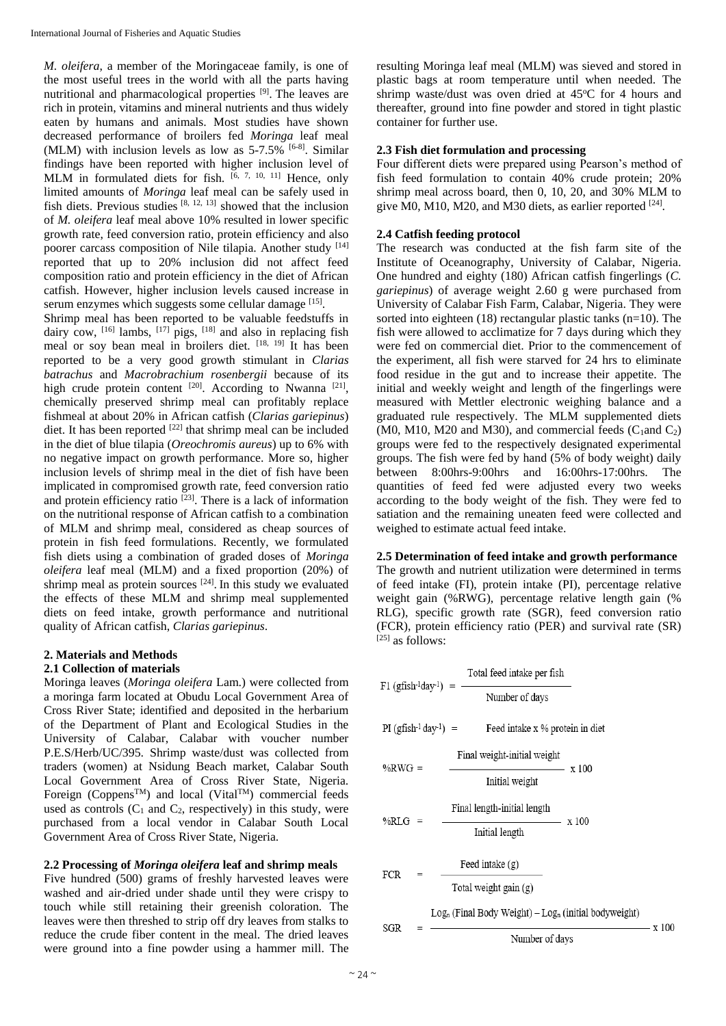*M. oleifera*, a member of the Moringaceae family, is one of the most useful trees in the world with all the parts having nutritional and pharmacological properties [9]. The leaves are rich in protein, vitamins and mineral nutrients and thus widely eaten by humans and animals. Most studies have shown decreased performance of broilers fed *Moringa* leaf meal (MLM) with inclusion levels as low as  $5-7.5\%$  <sup>[6-8]</sup>. Similar findings have been reported with higher inclusion level of MLM in formulated diets for fish.  $[6, 7, 10, 11]$  Hence, only limited amounts of *Moringa* leaf meal can be safely used in fish diets. Previous studies  $[8, 12, 13]$  showed that the inclusion of *M. oleifera* leaf meal above 10% resulted in lower specific growth rate, feed conversion ratio, protein efficiency and also poorer carcass composition of Nile tilapia. Another study [14] reported that up to 20% inclusion did not affect feed composition ratio and protein efficiency in the diet of African catfish. However, higher inclusion levels caused increase in serum enzymes which suggests some cellular damage [15].

Shrimp meal has been reported to be valuable feedstuffs in dairy cow, <sup>[16]</sup> lambs, <sup>[17]</sup> pigs, <sup>[18]</sup> and also in replacing fish meal or soy bean meal in broilers diet. [18, 19] It has been reported to be a very good growth stimulant in *Clarias batrachus* and *Macrobrachium rosenbergii* because of its high crude protein content  $[20]$ . According to Nwanna  $[21]$ , chemically preserved shrimp meal can profitably replace fishmeal at about 20% in African catfish (*Clarias gariepinus*) diet. It has been reported  $[22]$  that shrimp meal can be included in the diet of blue tilapia (*Oreochromis aureus*) up to 6% with no negative impact on growth performance. More so, higher inclusion levels of shrimp meal in the diet of fish have been implicated in compromised growth rate, feed conversion ratio and protein efficiency ratio<sup>[23]</sup>. There is a lack of information on the nutritional response of African catfish to a combination of MLM and shrimp meal, considered as cheap sources of protein in fish feed formulations. Recently, we formulated fish diets using a combination of graded doses of *Moringa oleifera* leaf meal (MLM) and a fixed proportion (20%) of shrimp meal as protein sources  $[24]$ . In this study we evaluated the effects of these MLM and shrimp meal supplemented diets on feed intake, growth performance and nutritional quality of African catfish, *Clarias gariepinus*.

# **2. Materials and Methods**

# **2.1 Collection of materials**

Moringa leaves (*Moringa oleifera* Lam.) were collected from a moringa farm located at Obudu Local Government Area of Cross River State; identified and deposited in the herbarium of the Department of Plant and Ecological Studies in the University of Calabar, Calabar with voucher number P.E.S/Herb/UC/395. Shrimp waste/dust was collected from traders (women) at Nsidung Beach market, Calabar South Local Government Area of Cross River State, Nigeria. Foreign (Coppens<sup>TM</sup>) and local (Vital<sup>TM</sup>) commercial feeds used as controls  $(C_1$  and  $C_2$ , respectively) in this study, were purchased from a local vendor in Calabar South Local Government Area of Cross River State, Nigeria.

# **2.2 Processing of** *Moringa oleifera* **leaf and shrimp meals**

Five hundred (500) grams of freshly harvested leaves were washed and air-dried under shade until they were crispy to touch while still retaining their greenish coloration. The leaves were then threshed to strip off dry leaves from stalks to reduce the crude fiber content in the meal. The dried leaves were ground into a fine powder using a hammer mill. The

resulting Moringa leaf meal (MLM) was sieved and stored in plastic bags at room temperature until when needed. The shrimp waste/dust was oven dried at 45°C for 4 hours and thereafter, ground into fine powder and stored in tight plastic container for further use.

# **2.3 Fish diet formulation and processing**

Four different diets were prepared using Pearson's method of fish feed formulation to contain 40% crude protein; 20% shrimp meal across board, then 0, 10, 20, and 30% MLM to give M0, M10, M20, and M30 diets, as earlier reported [24].

# **2.4 Catfish feeding protocol**

The research was conducted at the fish farm site of the Institute of Oceanography, University of Calabar, Nigeria. One hundred and eighty (180) African catfish fingerlings (*C. gariepinus*) of average weight 2.60 g were purchased from University of Calabar Fish Farm, Calabar, Nigeria. They were sorted into eighteen (18) rectangular plastic tanks (n=10). The fish were allowed to acclimatize for 7 days during which they were fed on commercial diet. Prior to the commencement of the experiment, all fish were starved for 24 hrs to eliminate food residue in the gut and to increase their appetite. The initial and weekly weight and length of the fingerlings were measured with Mettler electronic weighing balance and a graduated rule respectively. The MLM supplemented diets  $(M<sub>0</sub>, M1<sub>0</sub>, M2<sub>0</sub>)$  and M30), and commercial feeds  $(C<sub>1</sub>$ and  $C<sub>2</sub>)$ groups were fed to the respectively designated experimental groups. The fish were fed by hand (5% of body weight) daily between 8:00hrs-9:00hrs and 16:00hrs-17:00hrs. The quantities of feed fed were adjusted every two weeks according to the body weight of the fish. They were fed to satiation and the remaining uneaten feed were collected and weighed to estimate actual feed intake.

#### **2.5 Determination of feed intake and growth performance**

The growth and nutrient utilization were determined in terms of feed intake (FI), protein intake (PI), percentage relative weight gain (%RWG), percentage relative length gain (% RLG), specific growth rate (SGR), feed conversion ratio (FCR), protein efficiency ratio (PER) and survival rate (SR)  $[25]$  as follows:

```
Number of days
```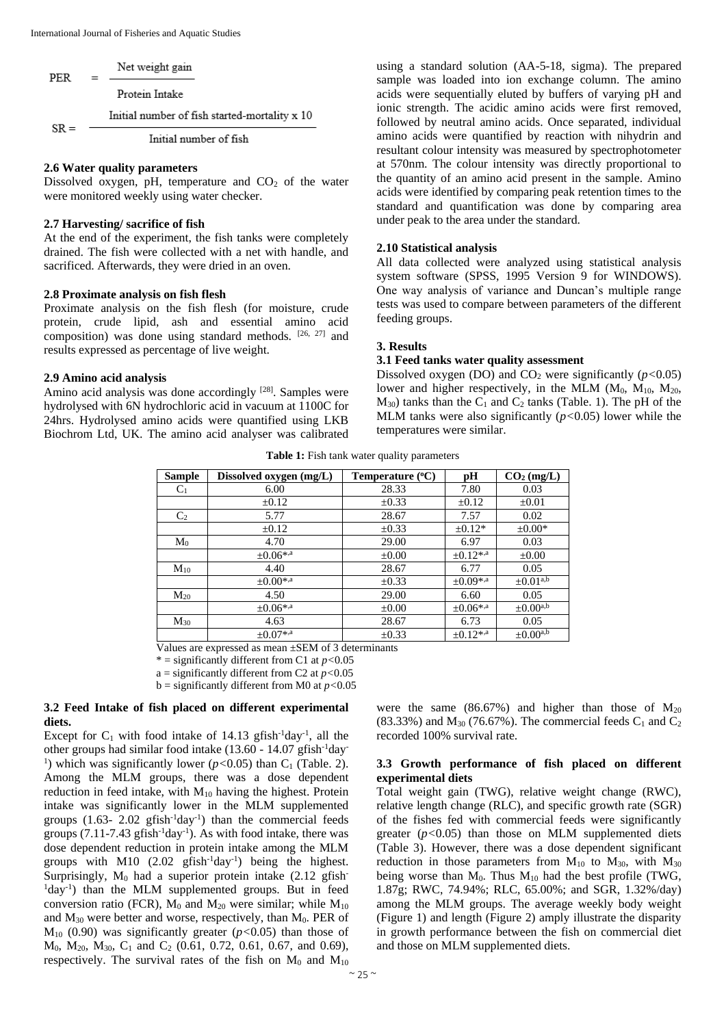| PER    | Net weight gain                               |
|--------|-----------------------------------------------|
|        | Protein Intake                                |
| $SR =$ | Initial number of fish started-mortality x 10 |
|        | Initial number of fish                        |

#### **2.6 Water quality parameters**

Dissolved oxygen, pH, temperature and  $CO<sub>2</sub>$  of the water were monitored weekly using water checker.

#### **2.7 Harvesting/ sacrifice of fish**

At the end of the experiment, the fish tanks were completely drained. The fish were collected with a net with handle, and sacrificed. Afterwards, they were dried in an oven.

#### **2.8 Proximate analysis on fish flesh**

Proximate analysis on the fish flesh (for moisture, crude protein, crude lipid, ash and essential amino acid composition) was done using standard methods. [26, 27] and results expressed as percentage of live weight.

#### **2.9 Amino acid analysis**

Amino acid analysis was done accordingly [28]. Samples were hydrolysed with 6N hydrochloric acid in vacuum at 1100C for 24hrs. Hydrolysed amino acids were quantified using LKB Biochrom Ltd, UK. The amino acid analyser was calibrated

using a standard solution (AA-5-18, sigma). The prepared sample was loaded into ion exchange column. The amino acids were sequentially eluted by buffers of varying pH and ionic strength. The acidic amino acids were first removed, followed by neutral amino acids. Once separated, individual amino acids were quantified by reaction with nihydrin and resultant colour intensity was measured by spectrophotometer at 570nm. The colour intensity was directly proportional to the quantity of an amino acid present in the sample. Amino acids were identified by comparing peak retention times to the standard and quantification was done by comparing area under peak to the area under the standard.

#### **2.10 Statistical analysis**

All data collected were analyzed using statistical analysis system software (SPSS, 1995 Version 9 for WINDOWS). One way analysis of variance and Duncan's multiple range tests was used to compare between parameters of the different feeding groups.

#### **3. Results**

#### **3.1 Feed tanks water quality assessment**

Dissolved oxygen (DO) and  $CO_2$  were significantly ( $p < 0.05$ ) lower and higher respectively, in the MLM  $(M_0, M_{10}, M_{20},$  $M_{30}$ ) tanks than the  $C_1$  and  $C_2$  tanks (Table. 1). The pH of the MLM tanks were also significantly (*p<*0.05) lower while the temperatures were similar.

| <b>Sample</b>  | Dissolved oxygen (mg/L) | Temperature $(^{\circ}C)$ | pН               | $CO2$ (mg/L)                   |
|----------------|-------------------------|---------------------------|------------------|--------------------------------|
| C <sub>1</sub> | 6.00                    | 28.33                     | 7.80             | 0.03                           |
|                | $\pm 0.12$              | $\pm 0.33$                | $\pm 0.12$       | $\pm 0.01$                     |
| C <sub>2</sub> | 5.77                    | 28.67                     | 7.57             | 0.02                           |
|                | $\pm 0.12$              | $\pm 0.33$                | $\pm 0.12*$      | $\pm 0.00*$                    |
| $M_0$          | 4.70                    | 29.00                     | 6.97             | 0.03                           |
|                | $\pm 0.06$ *,a          | $\pm 0.00$                | $+0.12^{*,a}$    | $\pm 0.00$                     |
| $M_{10}$       | 4.40                    | 28.67                     | 6.77             | 0.05                           |
|                | $\pm 0.00^{*,a}$        | $\pm 0.33$                | $\pm 0.09^{*,a}$ | $\pm 0.01^{\text{a},\text{b}}$ |
| $M_{20}$       | 4.50                    | 29.00                     | 6.60             | 0.05                           |
|                | $+0.06$ <sup>*,a</sup>  | $\pm 0.00$                | $\pm 0.06$ *,a   | $\pm 0.00^{\text{a},\text{b}}$ |
| $M_{30}$       | 4.63                    | 28.67                     | 6.73             | 0.05                           |
|                | $\pm 0.07$ *,a          | $\pm 0.33$                | $\pm 0.12$ *,a   | $\pm 0.00^{a,b}$               |

**Table 1:** Fish tank water quality parameters

Values are expressed as mean ±SEM of 3 determinants

\* = significantly different from C1 at *p<*0.05

a = significantly different from C2 at  $p < 0.05$ 

b = significantly different from M0 at *p<*0.05

### **3.2 Feed Intake of fish placed on different experimental diets.**

Except for  $C_1$  with food intake of 14.13 gfish<sup>-1</sup>day<sup>-1</sup>, all the other groups had similar food intake (13.60 - 14.07 gfish-1day-<sup>1</sup>) which was significantly lower ( $p$ <0.05) than C<sub>1</sub> (Table. 2). Among the MLM groups, there was a dose dependent reduction in feed intake, with  $M_{10}$  having the highest. Protein intake was significantly lower in the MLM supplemented groups  $(1.63 - 2.02 \text{ gfish}^{-1} \text{day}^{-1})$  than the commercial feeds groups  $(7.11$ -7.43 gfish<sup>-1</sup>day<sup>-1</sup>). As with food intake, there was dose dependent reduction in protein intake among the MLM groups with M10  $(2.02 \text{ gfish}^{-1} \text{day}^{-1})$  being the highest. Surprisingly,  $M_0$  had a superior protein intake (2.12 gfish-<sup>1</sup>day<sup>-1</sup>) than the MLM supplemented groups. But in feed conversion ratio (FCR),  $M_0$  and  $M_{20}$  were similar; while  $M_{10}$ and  $M_{30}$  were better and worse, respectively, than  $M_0$ . PER of M<sup>10</sup> (0.90) was significantly greater (*p<*0.05) than those of  $M_0$ ,  $M_{20}$ ,  $M_{30}$ ,  $C_1$  and  $C_2$  (0.61, 0.72, 0.61, 0.67, and 0.69), respectively. The survival rates of the fish on  $M_0$  and  $M_{10}$ 

were the same (86.67%) and higher than those of  $M_{20}$  $(83.33\%)$  and  $M_{30}$  (76.67%). The commercial feeds  $C_1$  and  $C_2$ recorded 100% survival rate.

### **3.3 Growth performance of fish placed on different experimental diets**

Total weight gain (TWG), relative weight change (RWC), relative length change (RLC), and specific growth rate (SGR) of the fishes fed with commercial feeds were significantly greater (*p<*0.05) than those on MLM supplemented diets (Table 3). However, there was a dose dependent significant reduction in those parameters from  $M_{10}$  to  $M_{30}$ , with  $M_{30}$ being worse than  $M_0$ . Thus  $M_{10}$  had the best profile (TWG, 1.87g; RWC, 74.94%; RLC, 65.00%; and SGR, 1.32%/day) among the MLM groups. The average weekly body weight (Figure 1) and length (Figure 2) amply illustrate the disparity in growth performance between the fish on commercial diet and those on MLM supplemented diets.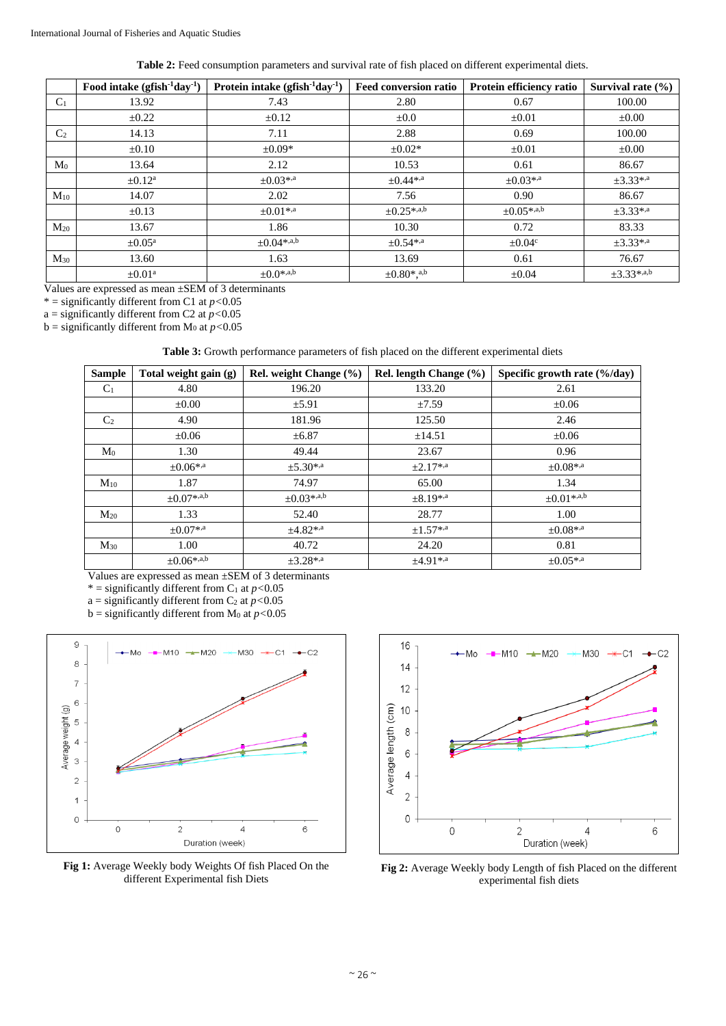**Table 2:** Feed consumption parameters and survival rate of fish placed on different experimental diets.

|                | Food intake $(gfish^{-1}day^{-1})$ | Protein intake $(gfish^{-1}day^{-1})$ | <b>Feed conversion ratio</b>             | Protein efficiency ratio | Survival rate $(\% )$ |
|----------------|------------------------------------|---------------------------------------|------------------------------------------|--------------------------|-----------------------|
| $C_1$          | 13.92                              | 7.43                                  | 2.80                                     | 0.67                     | 100.00                |
|                | $\pm 0.22$                         | $\pm 0.12$                            | $\pm 0.0$                                | $\pm 0.01$               | $\pm 0.00$            |
| C <sub>2</sub> | 14.13                              | 7.11                                  | 2.88                                     | 0.69                     | 100.00                |
|                | $\pm 0.10$                         | $\pm 0.09*$                           | $\pm 0.02*$                              | $\pm 0.01$               | $\pm 0.00$            |
| $\rm M_0$      | 13.64                              | 2.12                                  | 10.53                                    | 0.61                     | 86.67                 |
|                | $\pm 0.12^{\mathrm{a}}$            | $\pm 0.03^{*,a}$                      | $\pm 0.44^{*,a}$                         | $\pm 0.03^{*,a}$         | $\pm 3.33^{*,a}$      |
| $M_{10}$       | 14.07                              | 2.02                                  | 7.56                                     | 0.90                     | 86.67                 |
|                | $\pm 0.13$                         | $+0.01$ <sup>*,a</sup>                | $+0.25^{*,a,b}$                          | $+0.05^{*,a,b}$          | $\pm 3.33^{*,a}$      |
| $M_{20}$       | 13.67                              | 1.86                                  | 10.30                                    | 0.72                     | 83.33                 |
|                | $\pm 0.05^{\text{a}}$              | $\pm 0.04$ *,a,b                      | $\pm 0.54^{*,a}$                         | $\pm 0.04^{\circ}$       | $\pm 3.33^{*,a}$      |
| $M_{30}$       | 13.60                              | 1.63                                  | 13.69                                    | 0.61                     | 76.67                 |
|                | $\pm 0.01^{\text{a}}$              | $+0.0^{*,a,b}$                        | $\pm 0.80$ <sup>*</sup> , <sup>a,b</sup> | $\pm 0.04$               | $\pm 3.33^{*,a,b}$    |

Values are expressed as mean ±SEM of 3 determinants

\* = significantly different from C1 at  $p < 0.05$ 

a = significantly different from C2 at  $p < 0.05$ 

 $b =$  significantly different from M<sub>0</sub> at  $p < 0.05$ 

**Table 3:** Growth performance parameters of fish placed on the different experimental diets

| <b>Sample</b>  | Total weight gain (g) | Rel. weight Change $(\%$ | Rel. length Change $(\% )$ | Specific growth rate (%/day) |
|----------------|-----------------------|--------------------------|----------------------------|------------------------------|
| $C_1$          | 4.80                  | 196.20                   | 133.20                     | 2.61                         |
|                | $\pm 0.00$            | $\pm$ 5.91               | ±7.59                      | $\pm 0.06$                   |
| C <sub>2</sub> | 4.90                  | 181.96                   | 125.50                     | 2.46                         |
|                | $\pm 0.06$            | $\pm 6.87$               | $\pm$ 14.51                | $\pm 0.06$                   |
| M <sub>0</sub> | 1.30                  | 49.44                    | 23.67                      | 0.96                         |
|                | $\pm 0.06^{*,a}$      | $\pm 5.30^{*,a}$         | $+2.17$ *,a                | $\pm 0.08$ *,a               |
| $M_{10}$       | 1.87                  | 74.97                    | 65.00                      | 1.34                         |
|                | $\pm 0.07$ *,a,b      | $\pm 0.03$ *,a,b         | $\pm 8.19^{*,a}$           | $\pm 0.01$ *,a,b             |
| $M_{20}$       | 1.33                  | 52.40                    | 28.77                      | 1.00                         |
|                | $\pm 0.07$ *,a        | $+4.82$ *,               | $\pm 1.57^{*,a}$           | $\pm 0.08$ *,a               |
| $M_{30}$       | 1.00                  | 40.72                    | 24.20                      | 0.81                         |
|                | $\pm 0.06^{*,a,b}$    | $\pm 3.28^{*,a}$         | $±4.91**$ <sup>4</sup>     | $\pm 0.05$ *, <sup>a</sup>   |

Values are expressed as mean ±SEM of 3 determinants

\* = significantly different from  $C_1$  at  $p < 0.05$ 

a = significantly different from  $C_2$  at  $p < 0.05$ 

 $b =$  significantly different from  $M_0$  at  $p < 0.05$ 







**Fig 2:** Average Weekly body Length of fish Placed on the different experimental fish diets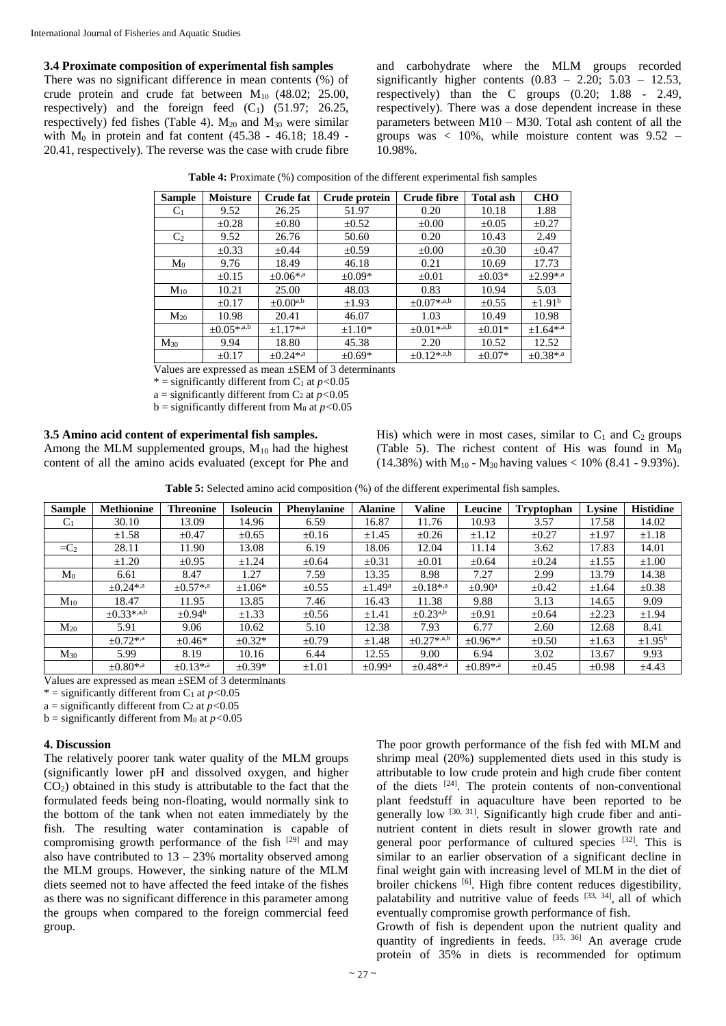#### **3.4 Proximate composition of experimental fish samples**

There was no significant difference in mean contents (%) of crude protein and crude fat between  $M_{10}$  (48.02; 25.00, respectively) and the foreign feed  $(C_1)$  (51.97; 26.25, respectively) fed fishes (Table 4).  $M_{20}$  and  $M_{30}$  were similar with  $M_0$  in protein and fat content (45.38 - 46.18; 18.49 -20.41, respectively). The reverse was the case with crude fibre

and carbohydrate where the MLM groups recorded significantly higher contents  $(0.83 - 2.20; 5.03 - 12.53)$ , respectively) than the C groups (0.20; 1.88 - 2.49, respectively). There was a dose dependent increase in these parameters between M10 – M30. Total ash content of all the groups was  $\langle 10\%, \text{ while moisture content was } 9.52 - \text{.} \rangle$ 10.98%.

| <b>Sample</b>  | <b>Moisture</b>                | <b>Crude fat</b>           | Crude protein | Crude fibre      | <b>Total ash</b> | <b>CHO</b>              |
|----------------|--------------------------------|----------------------------|---------------|------------------|------------------|-------------------------|
| C <sub>1</sub> | 9.52                           | 26.25                      | 51.97         | 0.20             | 10.18            | 1.88                    |
|                | $\pm 0.28$                     | $\pm 0.80$                 | $\pm 0.52$    | $\pm 0.00$       | $\pm 0.05$       | $\pm 0.27$              |
| C <sub>2</sub> | 9.52                           | 26.76                      | 50.60         | 0.20             | 10.43            | 2.49                    |
|                | $\pm 0.33$                     | $\pm 0.44$                 | $\pm 0.59$    | $\pm 0.00$       | $\pm 0.30$       | $\pm 0.47$              |
| M <sub>0</sub> | 9.76                           | 18.49                      | 46.18         | 0.21             | 10.69            | 17.73                   |
|                | $\pm 0.15$                     | $\pm 0.06$ *, <sup>a</sup> | $\pm 0.09*$   | $\pm 0.01$       | $\pm 0.03*$      | $\pm 2.99^{*,a}$        |
| $M_{10}$       | 10.21                          | 25.00                      | 48.03         | 0.83             | 10.94            | 5.03                    |
|                | $\pm 0.17$                     | $\pm 0.00^{a,b}$           | $\pm 1.93$    | $\pm 0.07$ *,a,b | $\pm 0.55$       | $\pm$ 1.91 <sup>b</sup> |
| $M_{20}$       | 10.98                          | 20.41                      | 46.07         | 1.03             | 10.49            | 10.98                   |
|                | $\pm 0.05$ *,a, $\overline{b}$ | $+1.17$ *, <sup>a</sup>    | $±1.10*$      | $\pm 0.01$ *,a,b | $\pm 0.01*$      | $\pm 1.64^{*,a}$        |
| $M_{30}$       | 9.94                           | 18.80                      | 45.38         | 2.20             | 10.52            | 12.52                   |
|                | $\pm 0.17$                     | $+0.24$ <sup>*,a</sup>     | $\pm 0.69*$   | $\pm 0.12$ *,a,b | $\pm 0.07*$      | $\pm 0.38^{*,a}$        |

**Table 4:** Proximate (%) composition of the different experimental fish samples

Values are expressed as mean ±SEM of 3 determinants

 $*$  = significantly different from C<sub>1</sub> at  $p < 0.05$ 

a = significantly different from  $C_2$  at  $p < 0.05$ 

 $b =$  significantly different from  $M_0$  at  $p < 0.05$ 

# **3.5 Amino acid content of experimental fish samples.**

Among the MLM supplemented groups,  $M_{10}$  had the highest content of all the amino acids evaluated (except for Phe and His) which were in most cases, similar to  $C_1$  and  $C_2$  groups (Table 5). The richest content of His was found in  $\dot{M}_0$  $(14.38\%)$  with M<sub>10</sub> - M<sub>30</sub> having values < 10% (8.41 - 9.93%).

**Table 5:** Selected amino acid composition (%) of the different experimental fish samples.

| <b>Sample</b>  | <b>Methionine</b>       | <b>Threonine</b>   | <b>Isoleucin</b> | <b>Phenylanine</b> | <b>Alanine</b>          | <b>Valine</b>    | Leucine                 | Tryptophan | Lysine     | <b>Histidine</b>   |
|----------------|-------------------------|--------------------|------------------|--------------------|-------------------------|------------------|-------------------------|------------|------------|--------------------|
| C <sub>1</sub> | 30.10                   | 13.09              | 14.96            | 6.59               | 16.87                   | 11.76            | 10.93                   | 3.57       | 17.58      | 14.02              |
|                | $\pm 1.58$              | $\pm 0.47$         | $\pm 0.65$       | $\pm 0.16$         | $\pm 1.45$              | $\pm 0.26$       | $\pm 1.12$              | $\pm 0.27$ | $\pm 1.97$ | $\pm 1.18$         |
| $=C_2$         | 28.11                   | 11.90              | 13.08            | 6.19               | 18.06                   | 12.04            | 11.14                   | 3.62       | 17.83      | 14.01              |
|                | $\pm 1.20$              | $\pm 0.95$         | $\pm 1.24$       | $\pm 0.64$         | $\pm 0.31$              | $\pm 0.01$       | $\pm 0.64$              | $\pm 0.24$ | ±1.55      | $\pm 1.00$         |
| M <sub>0</sub> | 6.61                    | 8.47               | 1.27             | 7.59               | 13.35                   | 8.98             | 7.27                    | 2.99       | 13.79      | 14.38              |
|                | $+0.24$ <sup>*,a</sup>  | $+0.57$ *,a        | $\pm 1.06*$      | $\pm 0.55$         | $\pm 1.49^{\rm a}$      | $\pm 0.18$ *,a   | $\pm 0.90^{\mathrm{a}}$ | $\pm 0.42$ | ±1.64      | $\pm 0.38$         |
| $M_{10}$       | 18.47                   | 11.95              | 13.85            | 7.46               | 16.43                   | 11.38            | 9.88                    | 3.13       | 14.65      | 9.09               |
|                | $+0.33^{*,a,b}$         | $\pm 0.94^{\rm b}$ | $\pm 1.33$       | $\pm 0.56$         | $\pm 1.41$              | $\pm 0.23^{a,b}$ | $\pm 0.91$              | $\pm 0.64$ | ±2.23      | ±1.94              |
| $M_{20}$       | 5.91                    | 9.06               | 10.62            | 5.10               | 12.38                   | 7.93             | 6.77                    | 2.60       | 12.68      | 8.41               |
|                | $+0.72$ *, <sup>a</sup> | $+0.46*$           | $\pm 0.32*$      | $\pm 0.79$         | $\pm 1.48$              | $+0.27$ *,a,b    | $+0.96$ <sup>*,a</sup>  | $\pm 0.50$ | $\pm 1.63$ | $\pm 1.95^{\rm b}$ |
| $M_{30}$       | 5.99                    | 8.19               | 10.16            | 6.44               | 12.55                   | 9.00             | 6.94                    | 3.02       | 13.67      | 9.93               |
|                | $+0.80^{*,a}$           | $+0.13^{*,a}$      | $\pm 0.39*$      | $\pm 1.01$         | $\pm$ 0.99 <sup>a</sup> | $+0.48^{*,a}$    | $+0.89^{*,a}$           | $\pm 0.45$ | $\pm 0.98$ | ±4.43              |

Values are expressed as mean ±SEM of 3 determinants

\* = significantly different from  $C_1$  at  $p < 0.05$ 

a = significantly different from  $C_2$  at  $p < 0.05$ 

b = significantly different from M<sup>0</sup> at *p<*0.05

#### **4. Discussion**

The relatively poorer tank water quality of the MLM groups (significantly lower pH and dissolved oxygen, and higher  $CO<sub>2</sub>$ ) obtained in this study is attributable to the fact that the formulated feeds being non-floating, would normally sink to the bottom of the tank when not eaten immediately by the fish. The resulting water contamination is capable of compromising growth performance of the fish  $[29]$  and may also have contributed to  $13 - 23%$  mortality observed among the MLM groups. However, the sinking nature of the MLM diets seemed not to have affected the feed intake of the fishes as there was no significant difference in this parameter among the groups when compared to the foreign commercial feed group.

The poor growth performance of the fish fed with MLM and shrimp meal (20%) supplemented diets used in this study is attributable to low crude protein and high crude fiber content of the diets  $[24]$ . The protein contents of non-conventional plant feedstuff in aquaculture have been reported to be generally low <sup>[30, 31]</sup>. Significantly high crude fiber and antinutrient content in diets result in slower growth rate and general poor performance of cultured species <sup>[32]</sup>. This is similar to an earlier observation of a significant decline in final weight gain with increasing level of MLM in the diet of broiler chickens [6]. High fibre content reduces digestibility, palatability and nutritive value of feeds [33, 34], all of which eventually compromise growth performance of fish.

Growth of fish is dependent upon the nutrient quality and quantity of ingredients in feeds. [35, 36] An average crude protein of 35% in diets is recommended for optimum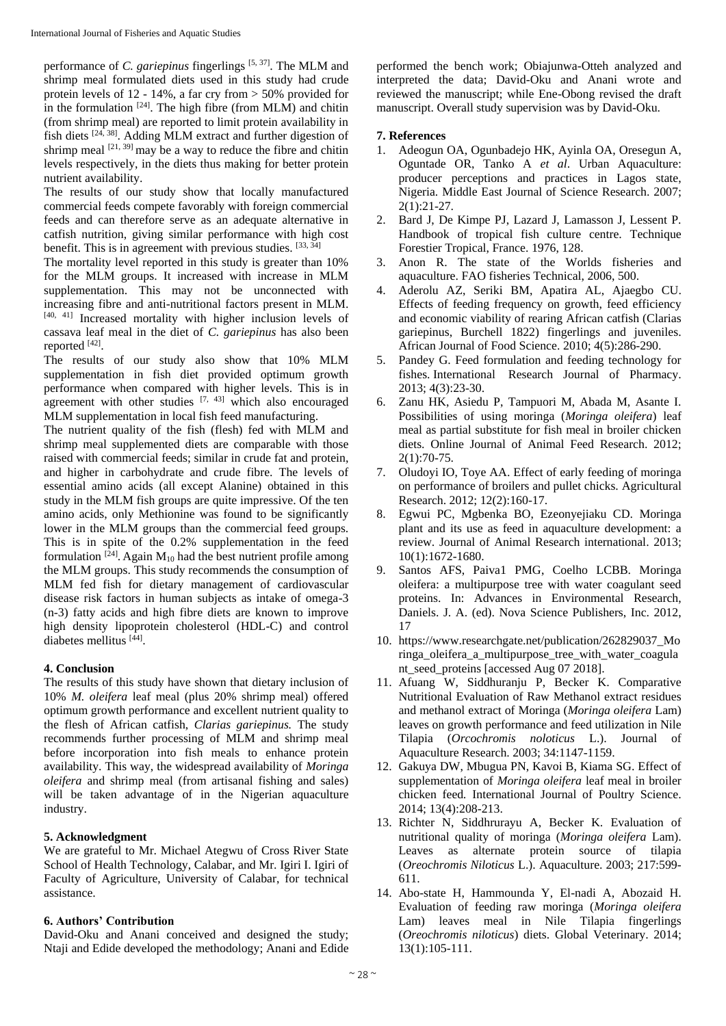performance of *C. gariepinus* fingerlings [5, 37]. The MLM and shrimp meal formulated diets used in this study had crude protein levels of 12 - 14%, a far cry from > 50% provided for in the formulation  $[24]$ . The high fibre (from MLM) and chitin (from shrimp meal) are reported to limit protein availability in fish diets  $[24, 38]$ . Adding MLM extract and further digestion of shrimp meal  $[21, 39]$  may be a way to reduce the fibre and chitin levels respectively, in the diets thus making for better protein nutrient availability.

The results of our study show that locally manufactured commercial feeds compete favorably with foreign commercial feeds and can therefore serve as an adequate alternative in catfish nutrition, giving similar performance with high cost benefit. This is in agreement with previous studies. [33, 34]

The mortality level reported in this study is greater than 10% for the MLM groups. It increased with increase in MLM supplementation. This may not be unconnected with increasing fibre and anti-nutritional factors present in MLM. [40, 41] Increased mortality with higher inclusion levels of cassava leaf meal in the diet of *C. gariepinus* has also been reported [42].

The results of our study also show that 10% MLM supplementation in fish diet provided optimum growth performance when compared with higher levels. This is in agreement with other studies  $[7, 43]$  which also encouraged MLM supplementation in local fish feed manufacturing.

The nutrient quality of the fish (flesh) fed with MLM and shrimp meal supplemented diets are comparable with those raised with commercial feeds; similar in crude fat and protein, and higher in carbohydrate and crude fibre. The levels of essential amino acids (all except Alanine) obtained in this study in the MLM fish groups are quite impressive. Of the ten amino acids, only Methionine was found to be significantly lower in the MLM groups than the commercial feed groups. This is in spite of the 0.2% supplementation in the feed formulation  $[24]$ . Again M<sub>10</sub> had the best nutrient profile among the MLM groups. This study recommends the consumption of MLM fed fish for dietary management of cardiovascular disease risk factors in human subjects as intake of omega-3 (n-3) fatty acids and high fibre diets are known to improve high density lipoprotein cholesterol (HDL-C) and control diabetes mellitus [44].

# **4. Conclusion**

The results of this study have shown that dietary inclusion of 10% *M. oleifera* leaf meal (plus 20% shrimp meal) offered optimum growth performance and excellent nutrient quality to the flesh of African catfish, *Clarias gariepinus.* The study recommends further processing of MLM and shrimp meal before incorporation into fish meals to enhance protein availability. This way, the widespread availability of *Moringa oleifera* and shrimp meal (from artisanal fishing and sales) will be taken advantage of in the Nigerian aquaculture industry.

# **5. Acknowledgment**

We are grateful to Mr. Michael Ategwu of Cross River State School of Health Technology, Calabar, and Mr. Igiri I. Igiri of Faculty of Agriculture, University of Calabar, for technical assistance.

# **6. Authors' Contribution**

David-Oku and Anani conceived and designed the study; Ntaji and Edide developed the methodology; Anani and Edide

performed the bench work; Obiajunwa-Otteh analyzed and interpreted the data; David-Oku and Anani wrote and reviewed the manuscript; while Ene-Obong revised the draft manuscript. Overall study supervision was by David-Oku.

# **7. References**

- 1. Adeogun OA, Ogunbadejo HK, Ayinla OA, Oresegun A, Oguntade OR, Tanko A *et al*. Urban Aquaculture: producer perceptions and practices in Lagos state, Nigeria. Middle East Journal of Science Research. 2007; 2(1):21-27.
- 2. Bard J, De Kimpe PJ, Lazard J, Lamasson J, Lessent P. Handbook of tropical fish culture centre. Technique Forestier Tropical, France. 1976, 128.
- 3. Anon R. The state of the Worlds fisheries and aquaculture. FAO fisheries Technical, 2006, 500.
- 4. Aderolu AZ, Seriki BM, Apatira AL, Ajaegbo CU. Effects of feeding frequency on growth, feed efficiency and economic viability of rearing African catfish (Clarias gariepinus, Burchell 1822) fingerlings and juveniles. African Journal of Food Science. 2010; 4(5):286-290.
- 5. Pandey G. Feed formulation and feeding technology for fishes. International Research Journal of Pharmacy. 2013; 4(3):23-30.
- 6. Zanu HK, Asiedu P, Tampuori M, Abada M, Asante I. Possibilities of using moringa (*Moringa oleifera*) leaf meal as partial substitute for fish meal in broiler chicken diets. Online Journal of Animal Feed Research. 2012; 2(1):70-75.
- 7. Oludoyi IO, Toye AA. Effect of early feeding of moringa on performance of broilers and pullet chicks. Agricultural Research. 2012; 12(2):160-17.
- 8. Egwui PC, Mgbenka BO, Ezeonyejiaku CD. Moringa plant and its use as feed in aquaculture development: a review. Journal of Animal Research international. 2013; 10(1):1672-1680.
- 9. Santos AFS, Paiva1 PMG, Coelho LCBB. Moringa oleifera: a multipurpose tree with water coagulant seed proteins. In: Advances in Environmental Research, Daniels. J. A. (ed). Nova Science Publishers, Inc. 2012, 17
- 10. https://www.researchgate.net/publication/262829037\_Mo ringa\_oleifera\_a\_multipurpose\_tree\_with\_water\_coagula nt\_seed\_proteins [accessed Aug 07 2018].
- 11. Afuang W, Siddhuranju P, Becker K. Comparative Nutritional Evaluation of Raw Methanol extract residues and methanol extract of Moringa (*Moringa oleifera* Lam) leaves on growth performance and feed utilization in Nile Tilapia (*Orcochromis noloticus* L.). Journal of Aquaculture Research. 2003; 34:1147-1159.
- 12. Gakuya DW, Mbugua PN, Kavoi B, Kiama SG. Effect of supplementation of *Moringa oleifera* leaf meal in broiler chicken feed*.* International Journal of Poultry Science. 2014; 13(4):208-213.
- 13. Richter N, Siddhrurayu A, Becker K. Evaluation of nutritional quality of moringa (*Moringa oleifera* Lam). Leaves as alternate protein source of tilapia (*Oreochromis Niloticus* L.). Aquaculture. 2003; 217:599- 611.
- 14. Abo-state H, Hammounda Y, El-nadi A, Abozaid H. Evaluation of feeding raw moringa (*Moringa oleifera*  Lam) leaves meal in Nile Tilapia fingerlings (*Oreochromis niloticus*) diets. Global Veterinary. 2014; 13(1):105-111.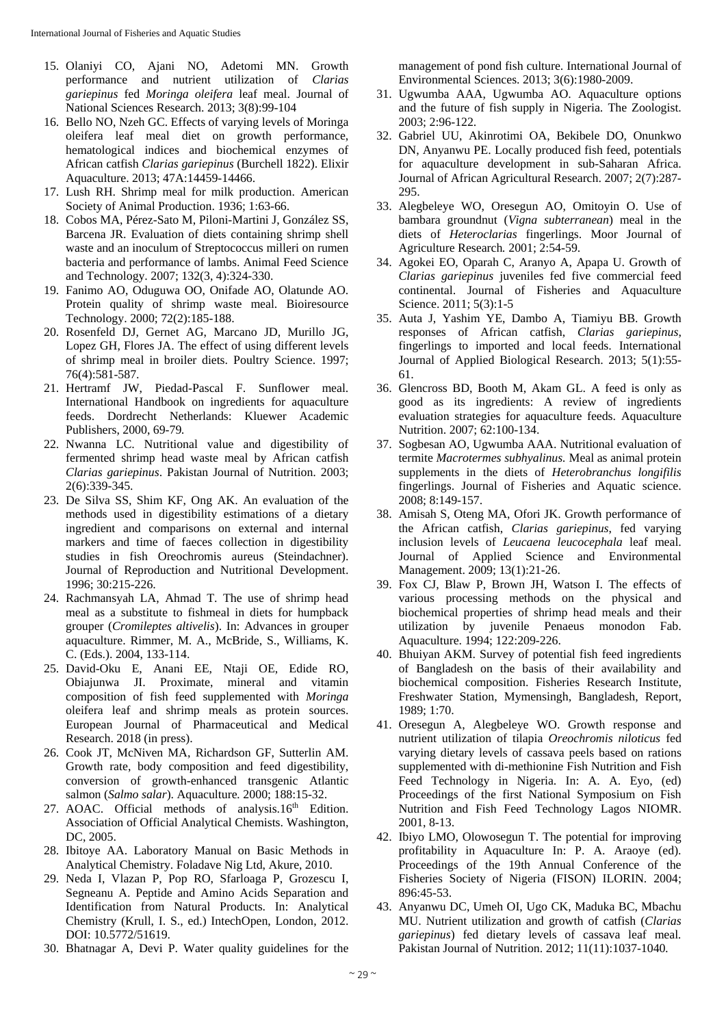- 15. Olaniyi CO, Ajani NO, Adetomi MN. Growth performance and nutrient utilization of *Clarias gariepinus* fed *Moringa oleifera* leaf meal. Journal of National Sciences Research. 2013; 3(8):99-104
- 16. Bello NO, Nzeh GC. Effects of varying levels of Moringa oleifera leaf meal diet on growth performance, hematological indices and biochemical enzymes of African catfish *Clarias gariepinus* (Burchell 1822). Elixir Aquaculture. 2013; 47A:14459-14466.
- 17. Lush RH. Shrimp meal for milk production. American Society of Animal Production. 1936; 1:63-66.
- 18. Cobos MA, Pérez-Sato M, Piloni-Martini J, González SS, Barcena JR. Evaluation of diets containing shrimp shell waste and an inoculum of Streptococcus milleri on rumen bacteria and performance of lambs. Animal Feed Science and Technology. 2007; 132(3, 4):324-330.
- 19. Fanimo AO, Oduguwa OO, Onifade AO, Olatunde AO. Protein quality of shrimp waste meal. Bioiresource Technology. 2000; 72(2):185-188.
- 20. Rosenfeld DJ, Gernet AG, Marcano JD, Murillo JG, Lopez GH, Flores JA. The effect of using different levels of shrimp meal in broiler diets. Poultry Science. 1997; 76(4):581-587.
- 21. Hertramf JW, Piedad-Pascal F. Sunflower meal. International Handbook on ingredients for aquaculture feeds. Dordrecht Netherlands: Kluewer Academic Publishers, 2000, 69-79*.*
- 22. Nwanna LC. Nutritional value and digestibility of fermented shrimp head waste meal by African catfish *Clarias gariepinus*. Pakistan Journal of Nutrition*.* 2003; 2(6):339-345.
- 23. De Silva SS, Shim KF, Ong AK. An evaluation of the methods used in digestibility estimations of a dietary ingredient and comparisons on external and internal markers and time of faeces collection in digestibility studies in fish Oreochromis aureus (Steindachner). Journal of Reproduction and Nutritional Development. 1996; 30:215-226.
- 24. Rachmansyah LA, Ahmad T. The use of shrimp head meal as a substitute to fishmeal in diets for humpback grouper (*Cromileptes altivelis*). In: Advances in grouper aquaculture. Rimmer, M. A., McBride, S., Williams, K. C. (Eds.). 2004, 133-114.
- 25. David-Oku E, Anani EE, Ntaji OE, Edide RO, Obiajunwa JI. Proximate, mineral and vitamin composition of fish feed supplemented with *Moringa*  oleifera leaf and shrimp meals as protein sources. European Journal of Pharmaceutical and Medical Research. 2018 (in press).
- 26. Cook JT, McNiven MA, Richardson GF, Sutterlin AM. Growth rate, body composition and feed digestibility, conversion of growth-enhanced transgenic Atlantic salmon (*Salmo salar*). Aquaculture*.* 2000; 188:15-32.
- 27. AOAC. Official methods of analysis.16<sup>th</sup> Edition. Association of Official Analytical Chemists. Washington, DC, 2005.
- 28. Ibitoye AA. Laboratory Manual on Basic Methods in Analytical Chemistry. Foladave Nig Ltd, Akure, 2010.
- 29. Neda I, Vlazan P, Pop RO, Sfarloaga P, Grozescu I, Segneanu A. Peptide and Amino Acids Separation and Identification from Natural Products. In: Analytical Chemistry (Krull, I. S., ed.) IntechOpen, London, 2012. DOI: 10.5772/51619.
- 30. Bhatnagar A, Devi P. Water quality guidelines for the

management of pond fish culture. International Journal of Environmental Sciences. 2013; 3(6):1980-2009.

- 31. Ugwumba AAA, Ugwumba AO. Aquaculture options and the future of fish supply in Nigeria. The Zoologist. 2003; 2:96-122.
- 32. Gabriel UU, Akinrotimi OA, Bekibele DO, Onunkwo DN, Anyanwu PE. Locally produced fish feed, potentials for aquaculture development in sub-Saharan Africa. Journal of African Agricultural Research. 2007; 2(7):287- 295.
- 33. Alegbeleye WO, Oresegun AO, Omitoyin O. Use of bambara groundnut (*Vigna subterranean*) meal in the diets of *Heteroclarias* fingerlings. Moor Journal of Agriculture Research*.* 2001; 2:54-59.
- 34. Agokei EO, Oparah C, Aranyo A, Apapa U. Growth of *Clarias gariepinus* juveniles fed five commercial feed continental. Journal of Fisheries and Aquaculture Science. 2011; 5(3):1-5
- 35. Auta J, Yashim YE, Dambo A, Tiamiyu BB. Growth responses of African catfish, *Clarias gariepinus*, fingerlings to imported and local feeds. International Journal of Applied Biological Research. 2013; 5(1):55- 61.
- 36. Glencross BD, Booth M, Akam GL. A feed is only as good as its ingredients: A review of ingredients evaluation strategies for aquaculture feeds. Aquaculture Nutrition. 2007; 62:100-134.
- 37. Sogbesan AO, Ugwumba AAA. Nutritional evaluation of termite *Macrotermes subhyalinus.* Meal as animal protein supplements in the diets of *Heterobranchus longifilis*  fingerlings. Journal of Fisheries and Aquatic science. 2008; 8:149-157.
- 38. Amisah S, Oteng MA, Ofori JK. Growth performance of the African catfish, *Clarias gariepinus*, fed varying inclusion levels of *Leucaena leucocephala* leaf meal. Journal of Applied Science and Environmental Management. 2009; 13(1):21-26.
- 39. Fox CJ, Blaw P, Brown JH, Watson I. The effects of various processing methods on the physical and biochemical properties of shrimp head meals and their utilization by juvenile Penaeus monodon Fab. Aquaculture. 1994; 122:209-226.
- 40. Bhuiyan AKM. Survey of potential fish feed ingredients of Bangladesh on the basis of their availability and biochemical composition. Fisheries Research Institute, Freshwater Station, Mymensingh, Bangladesh, Report, 1989; 1:70.
- 41. Oresegun A, Alegbeleye WO. Growth response and nutrient utilization of tilapia *Oreochromis niloticus* fed varying dietary levels of cassava peels based on rations supplemented with di-methionine Fish Nutrition and Fish Feed Technology in Nigeria. In: A. A. Eyo, (ed) Proceedings of the first National Symposium on Fish Nutrition and Fish Feed Technology Lagos NIOMR. 2001, 8-13.
- 42. Ibiyo LMO, Olowosegun T. The potential for improving profitability in Aquaculture In: P. A. Araoye (ed). Proceedings of the 19th Annual Conference of the Fisheries Society of Nigeria (FISON) ILORIN. 2004; 896:45-53.
- 43. Anyanwu DC, Umeh OI, Ugo CK, Maduka BC, Mbachu MU. Nutrient utilization and growth of catfish (*Clarias gariepinus*) fed dietary levels of cassava leaf meal*.*  Pakistan Journal of Nutrition. 2012; 11(11):1037-1040*.*